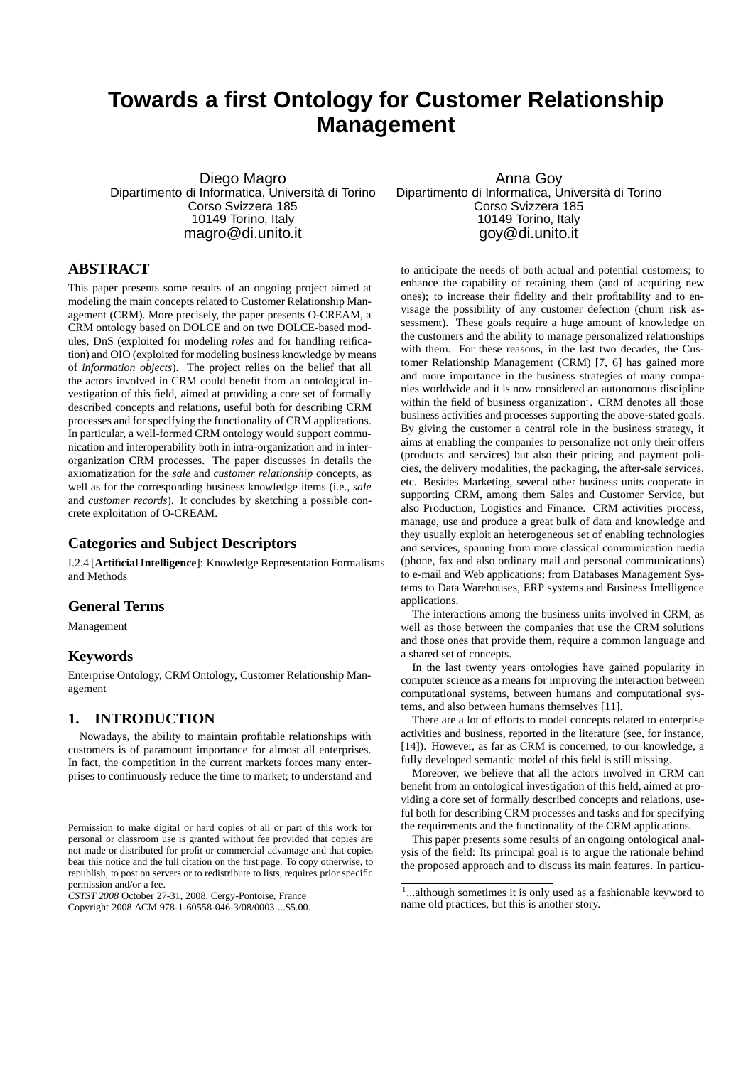# **Towards a first Ontology for Customer Relationship Management**

Diego Magro Dipartimento di Informatica, Università di Torino Corso Svizzera 185 10149 Torino, Italy magro@di.unito.it

Anna Goy Dipartimento di Informatica, Università di Torino Corso Svizzera 185 10149 Torino, Italy goy@di.unito.it

## **ABSTRACT**

This paper presents some results of an ongoing project aimed at modeling the main concepts related to Customer Relationship Management (CRM). More precisely, the paper presents O-CREAM, a CRM ontology based on DOLCE and on two DOLCE-based modules, DnS (exploited for modeling *roles* and for handling reification) and OIO (exploited for modeling business knowledge by means of *information objects*). The project relies on the belief that all the actors involved in CRM could benefit from an ontological investigation of this field, aimed at providing a core set of formally described concepts and relations, useful both for describing CRM processes and for specifying the functionality of CRM applications. In particular, a well-formed CRM ontology would support communication and interoperability both in intra-organization and in interorganization CRM processes. The paper discusses in details the axiomatization for the *sale* and *customer relationship* concepts, as well as for the corresponding business knowledge items (i.e., *sale* and *customer records*). It concludes by sketching a possible concrete exploitation of O-CREAM.

#### **Categories and Subject Descriptors**

I.2.4 [**Artificial Intelligence**]: Knowledge Representation Formalisms and Methods

## **General Terms**

Management

#### **Keywords**

Enterprise Ontology, CRM Ontology, Customer Relationship Management

## **1. INTRODUCTION**

Nowadays, the ability to maintain profitable relationships with customers is of paramount importance for almost all enterprises. In fact, the competition in the current markets forces many enterprises to continuously reduce the time to market; to understand and

*CSTST 2008* October 27-31, 2008, Cergy-Pontoise, France Copyright 2008 ACM 978-1-60558-046-3/08/0003 ...\$5.00.

to anticipate the needs of both actual and potential customers; to enhance the capability of retaining them (and of acquiring new ones); to increase their fidelity and their profitability and to envisage the possibility of any customer defection (churn risk assessment). These goals require a huge amount of knowledge on the customers and the ability to manage personalized relationships with them. For these reasons, in the last two decades, the Customer Relationship Management (CRM) [7, 6] has gained more and more importance in the business strategies of many companies worldwide and it is now considered an autonomous discipline within the field of business organization<sup>1</sup>. CRM denotes all those business activities and processes supporting the above-stated goals. By giving the customer a central role in the business strategy, it aims at enabling the companies to personalize not only their offers (products and services) but also their pricing and payment policies, the delivery modalities, the packaging, the after-sale services, etc. Besides Marketing, several other business units cooperate in supporting CRM, among them Sales and Customer Service, but also Production, Logistics and Finance. CRM activities process, manage, use and produce a great bulk of data and knowledge and they usually exploit an heterogeneous set of enabling technologies and services, spanning from more classical communication media (phone, fax and also ordinary mail and personal communications) to e-mail and Web applications; from Databases Management Systems to Data Warehouses, ERP systems and Business Intelligence applications.

The interactions among the business units involved in CRM, as well as those between the companies that use the CRM solutions and those ones that provide them, require a common language and a shared set of concepts.

In the last twenty years ontologies have gained popularity in computer science as a means for improving the interaction between computational systems, between humans and computational systems, and also between humans themselves [11].

There are a lot of efforts to model concepts related to enterprise activities and business, reported in the literature (see, for instance, [14]). However, as far as CRM is concerned, to our knowledge, a fully developed semantic model of this field is still missing.

Moreover, we believe that all the actors involved in CRM can benefit from an ontological investigation of this field, aimed at providing a core set of formally described concepts and relations, useful both for describing CRM processes and tasks and for specifying the requirements and the functionality of the CRM applications.

This paper presents some results of an ongoing ontological analysis of the field: Its principal goal is to argue the rationale behind the proposed approach and to discuss its main features. In particu-

Permission to make digital or hard copies of all or part of this work for personal or classroom use is granted without fee provided that copies are not made or distributed for profit or commercial advantage and that copies bear this notice and the full citation on the first page. To copy otherwise, to republish, to post on servers or to redistribute to lists, requires prior specific permission and/or a fee.

<sup>&</sup>lt;sup>1</sup>...although sometimes it is only used as a fashionable keyword to name old practices, but this is another story.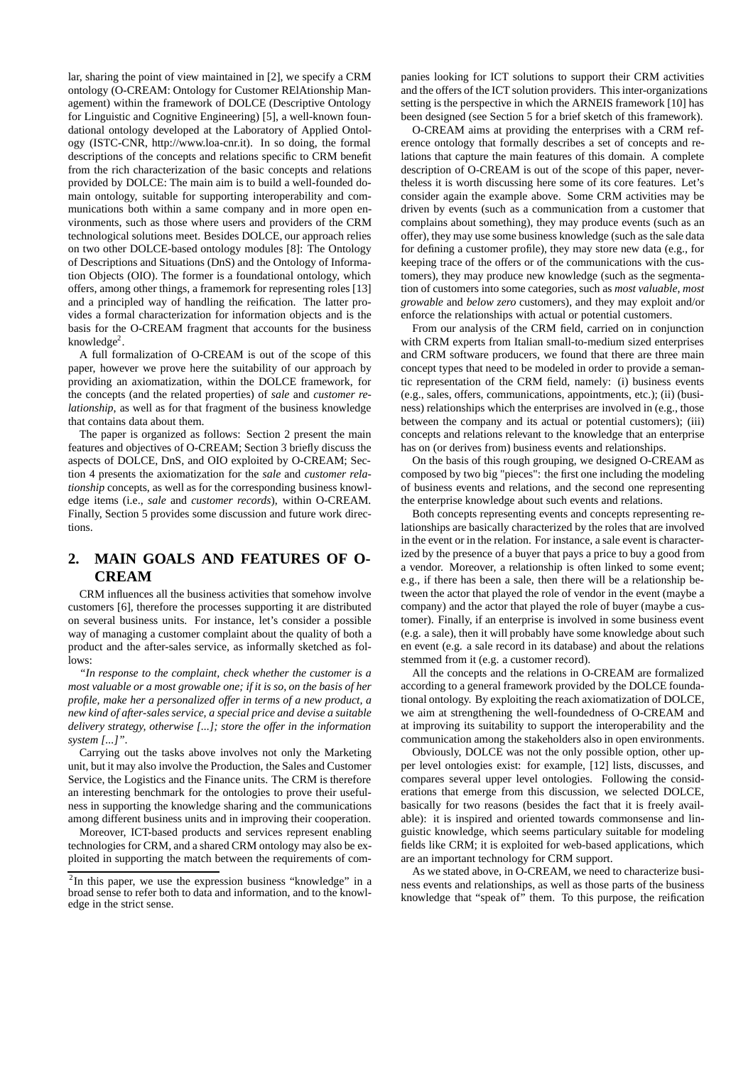lar, sharing the point of view maintained in [2], we specify a CRM ontology (O-CREAM: Ontology for Customer RElAtionship Management) within the framework of DOLCE (Descriptive Ontology for Linguistic and Cognitive Engineering) [5], a well-known foundational ontology developed at the Laboratory of Applied Ontology (ISTC-CNR, http://www.loa-cnr.it). In so doing, the formal descriptions of the concepts and relations specific to CRM benefit from the rich characterization of the basic concepts and relations provided by DOLCE: The main aim is to build a well-founded domain ontology, suitable for supporting interoperability and communications both within a same company and in more open environments, such as those where users and providers of the CRM technological solutions meet. Besides DOLCE, our approach relies on two other DOLCE-based ontology modules [8]: The Ontology of Descriptions and Situations (DnS) and the Ontology of Information Objects (OIO). The former is a foundational ontology, which offers, among other things, a framemork for representing roles [13] and a principled way of handling the reification. The latter provides a formal characterization for information objects and is the basis for the O-CREAM fragment that accounts for the business knowledge<sup>2</sup>.

A full formalization of O-CREAM is out of the scope of this paper, however we prove here the suitability of our approach by providing an axiomatization, within the DOLCE framework, for the concepts (and the related properties) of *sale* and *customer relationship*, as well as for that fragment of the business knowledge that contains data about them.

The paper is organized as follows: Section 2 present the main features and objectives of O-CREAM; Section 3 briefly discuss the aspects of DOLCE, DnS, and OIO exploited by O-CREAM; Section 4 presents the axiomatization for the *sale* and *customer relationship* concepts, as well as for the corresponding business knowledge items (i.e., *sale* and *customer records*), within O-CREAM. Finally, Section 5 provides some discussion and future work directions.

### **2. MAIN GOALS AND FEATURES OF O-CREAM**

CRM influences all the business activities that somehow involve customers [6], therefore the processes supporting it are distributed on several business units. For instance, let's consider a possible way of managing a customer complaint about the quality of both a product and the after-sales service, as informally sketched as follows:

*"In response to the complaint, check whether the customer is a most valuable or a most growable one; if it is so, on the basis of her profile, make her a personalized offer in terms of a new product, a new kind of after-sales service, a special price and devise a suitable delivery strategy, otherwise [...]; store the offer in the information system [...]"*.

Carrying out the tasks above involves not only the Marketing unit, but it may also involve the Production, the Sales and Customer Service, the Logistics and the Finance units. The CRM is therefore an interesting benchmark for the ontologies to prove their usefulness in supporting the knowledge sharing and the communications among different business units and in improving their cooperation.

Moreover, ICT-based products and services represent enabling technologies for CRM, and a shared CRM ontology may also be exploited in supporting the match between the requirements of com-

panies looking for ICT solutions to support their CRM activities and the offers of the ICT solution providers. This inter-organizations setting is the perspective in which the ARNEIS framework [10] has been designed (see Section 5 for a brief sketch of this framework).

O-CREAM aims at providing the enterprises with a CRM reference ontology that formally describes a set of concepts and relations that capture the main features of this domain. A complete description of O-CREAM is out of the scope of this paper, nevertheless it is worth discussing here some of its core features. Let's consider again the example above. Some CRM activities may be driven by events (such as a communication from a customer that complains about something), they may produce events (such as an offer), they may use some business knowledge (such as the sale data for defining a customer profile), they may store new data (e.g., for keeping trace of the offers or of the communications with the customers), they may produce new knowledge (such as the segmentation of customers into some categories, such as *most valuable*, *most growable* and *below zero* customers), and they may exploit and/or enforce the relationships with actual or potential customers.

From our analysis of the CRM field, carried on in conjunction with CRM experts from Italian small-to-medium sized enterprises and CRM software producers, we found that there are three main concept types that need to be modeled in order to provide a semantic representation of the CRM field, namely: (i) business events (e.g., sales, offers, communications, appointments, etc.); (ii) (business) relationships which the enterprises are involved in (e.g., those between the company and its actual or potential customers); (iii) concepts and relations relevant to the knowledge that an enterprise has on (or derives from) business events and relationships.

On the basis of this rough grouping, we designed O-CREAM as composed by two big "pieces": the first one including the modeling of business events and relations, and the second one representing the enterprise knowledge about such events and relations.

Both concepts representing events and concepts representing relationships are basically characterized by the roles that are involved in the event or in the relation. For instance, a sale event is characterized by the presence of a buyer that pays a price to buy a good from a vendor. Moreover, a relationship is often linked to some event; e.g., if there has been a sale, then there will be a relationship between the actor that played the role of vendor in the event (maybe a company) and the actor that played the role of buyer (maybe a customer). Finally, if an enterprise is involved in some business event (e.g. a sale), then it will probably have some knowledge about such en event (e.g. a sale record in its database) and about the relations stemmed from it (e.g. a customer record).

All the concepts and the relations in O-CREAM are formalized according to a general framework provided by the DOLCE foundational ontology. By exploiting the reach axiomatization of DOLCE, we aim at strengthening the well-foundedness of O-CREAM and at improving its suitability to support the interoperability and the communication among the stakeholders also in open environments.

Obviously, DOLCE was not the only possible option, other upper level ontologies exist: for example, [12] lists, discusses, and compares several upper level ontologies. Following the considerations that emerge from this discussion, we selected DOLCE, basically for two reasons (besides the fact that it is freely available): it is inspired and oriented towards commonsense and linguistic knowledge, which seems particulary suitable for modeling fields like CRM; it is exploited for web-based applications, which are an important technology for CRM support.

As we stated above, in O-CREAM, we need to characterize business events and relationships, as well as those parts of the business knowledge that "speak of" them. To this purpose, the reification

<sup>&</sup>lt;sup>2</sup>In this paper, we use the expression business "knowledge" in a broad sense to refer both to data and information, and to the knowledge in the strict sense.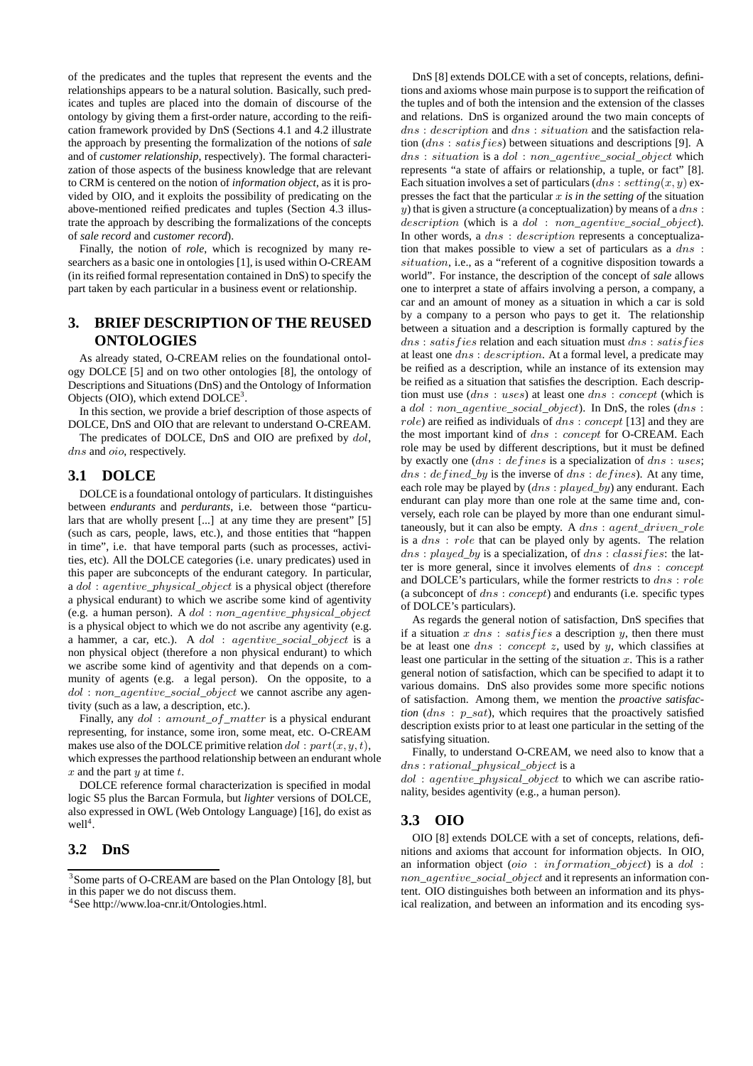of the predicates and the tuples that represent the events and the relationships appears to be a natural solution. Basically, such predicates and tuples are placed into the domain of discourse of the ontology by giving them a first-order nature, according to the reification framework provided by DnS (Sections 4.1 and 4.2 illustrate the approach by presenting the formalization of the notions of *sale* and of *customer relationship*, respectively). The formal characterization of those aspects of the business knowledge that are relevant to CRM is centered on the notion of *information object*, as it is provided by OIO, and it exploits the possibility of predicating on the above-mentioned reified predicates and tuples (Section 4.3 illustrate the approach by describing the formalizations of the concepts of *sale record* and *customer record*).

Finally, the notion of *role*, which is recognized by many researchers as a basic one in ontologies [1], is used within O-CREAM (in its reified formal representation contained in DnS) to specify the part taken by each particular in a business event or relationship.

#### **3. BRIEF DESCRIPTION OF THE REUSED ONTOLOGIES**

As already stated, O-CREAM relies on the foundational ontology DOLCE [5] and on two other ontologies [8], the ontology of Descriptions and Situations (DnS) and the Ontology of Information Objects (OIO), which extend  $DOLCE<sup>3</sup>$ .

In this section, we provide a brief description of those aspects of DOLCE, DnS and OIO that are relevant to understand O-CREAM.

The predicates of DOLCE, DnS and OIO are prefixed by *dol*, *dns* and *oio*, respectively.

## **3.1 DOLCE**

DOLCE is a foundational ontology of particulars. It distinguishes between *endurants* and *perdurants*, i.e. between those "particulars that are wholly present [...] at any time they are present" [5] (such as cars, people, laws, etc.), and those entities that "happen in time", i.e. that have temporal parts (such as processes, activities, etc). All the DOLCE categories (i.e. unary predicates) used in this paper are subconcepts of the endurant category. In particular, a *dol* : *agentive*\_*physical*\_*object* is a physical object (therefore a physical endurant) to which we ascribe some kind of agentivity (e.g. a human person). A *dol* : *non*\_*agentive*\_*physical*\_*object* is a physical object to which we do not ascribe any agentivity (e.g. a hammer, a car, etc.). A *dol* : *agentive*\_*social*\_*object* is a non physical object (therefore a non physical endurant) to which we ascribe some kind of agentivity and that depends on a community of agents (e.g. a legal person). On the opposite, to a *dol* : *non*\_*agentive*\_*social*\_*object* we cannot ascribe any agentivity (such as a law, a description, etc.).

Finally, any *dol* : *amount*\_*of*\_*matter* is a physical endurant representing, for instance, some iron, some meat, etc. O-CREAM makes use also of the DOLCE primitive relation *dol* : *part*(*x, y, t*), which expresses the parthood relationship between an endurant whole *x* and the part *y* at time *t*.

DOLCE reference formal characterization is specified in modal logic S5 plus the Barcan Formula, but *lighter* versions of DOLCE, also expressed in OWL (Web Ontology Language) [16], do exist as  $well<sup>4</sup>$ .

#### **3.2 DnS**

DnS [8] extends DOLCE with a set of concepts, relations, definitions and axioms whose main purpose is to support the reification of the tuples and of both the intension and the extension of the classes and relations. DnS is organized around the two main concepts of *dns* : *description* and *dns* : *situation* and the satisfaction relation (*dns* : *satisfies*) between situations and descriptions [9]. A *dns* : *situation* is a *dol* : *non*\_*agentive*\_*social*\_*object* which represents "a state of affairs or relationship, a tuple, or fact" [8]. Each situation involves a set of particulars (*dns* : *setting*(*x, y*) expresses the fact that the particular *x is in the setting of* the situation *y*) that is given a structure (a conceptualization) by means of a *dns* : *description* (which is a *dol* : *non*\_*agentive*\_*social*\_*object*). In other words, a *dns* : *description* represents a conceptualization that makes possible to view a set of particulars as a *dns* : *situation*, i.e., as a "referent of a cognitive disposition towards a world". For instance, the description of the concept of *sale* allows one to interpret a state of affairs involving a person, a company, a car and an amount of money as a situation in which a car is sold by a company to a person who pays to get it. The relationship between a situation and a description is formally captured by the *dns* : *satisf ies* relation and each situation must *dns* : *satisf ies* at least one *dns* : *description*. At a formal level, a predicate may be reified as a description, while an instance of its extension may be reified as a situation that satisfies the description. Each description must use (*dns* : *uses*) at least one *dns* : *concept* (which is a *dol* : *non*\_*agentive*\_*social*\_*object*). In DnS, the roles (*dns* : *role*) are reified as individuals of *dns* : *concept* [13] and they are the most important kind of *dns* : *concept* for O-CREAM. Each role may be used by different descriptions, but it must be defined by exactly one (*dns* : *def ines* is a specialization of *dns* : *uses*; *dns* : *def ined*\_*by* is the inverse of *dns* : *def ines*). At any time, each role may be played by (*dns* : *played*\_*by*) any endurant. Each endurant can play more than one role at the same time and, conversely, each role can be played by more than one endurant simultaneously, but it can also be empty. A *dns* : *agent*\_*driven*\_*role* is a *dns* : *role* that can be played only by agents. The relation *dns* : *played*\_*by* is a specialization, of *dns* : *classif ies*: the latter is more general, since it involves elements of *dns* : *concept* and DOLCE's particulars, while the former restricts to *dns* : *role* (a subconcept of *dns* : *concept*) and endurants (i.e. specific types of DOLCE's particulars).

As regards the general notion of satisfaction, DnS specifies that if a situation  $x \, dns : satisfies a description y, then there must$ be at least one *dns* : *concept z*, used by *y*, which classifies at least one particular in the setting of the situation *x*. This is a rather general notion of satisfaction, which can be specified to adapt it to various domains. DnS also provides some more specific notions of satisfaction. Among them, we mention the *proactive satisfaction* (*dns* : *p*\_*sat*), which requires that the proactively satisfied description exists prior to at least one particular in the setting of the satisfying situation.

Finally, to understand O-CREAM, we need also to know that a *dns* : *rational*\_*physical*\_*object* is a

*dol* : *agentive*\_*physical*\_*object* to which we can ascribe rationality, besides agentivity (e.g., a human person).

## **3.3 OIO**

OIO [8] extends DOLCE with a set of concepts, relations, definitions and axioms that account for information objects. In OIO, an information object (*oio* : *information*\_*object*) is a *dol* : *non*\_*agentive*\_*social*\_*object* and it represents an information content. OIO distinguishes both between an information and its physical realization, and between an information and its encoding sys-

<sup>&</sup>lt;sup>3</sup> Some parts of O-CREAM are based on the Plan Ontology [8], but in this paper we do not discuss them.

<sup>4</sup> See http://www.loa-cnr.it/Ontologies.html.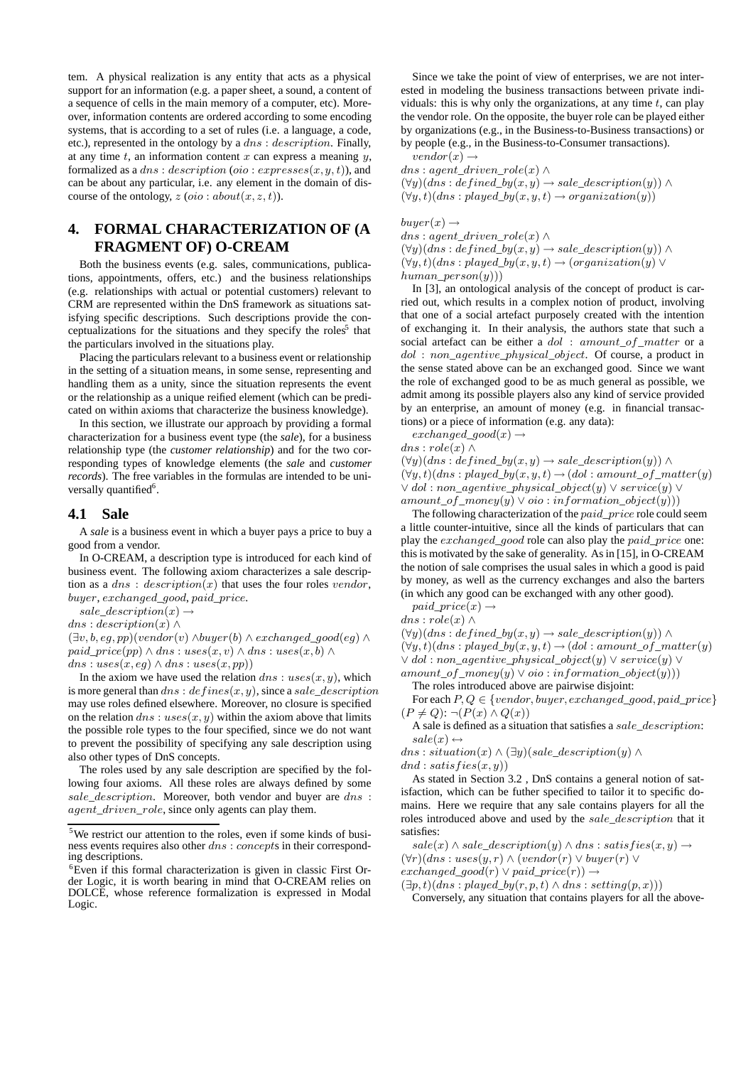tem. A physical realization is any entity that acts as a physical support for an information (e.g. a paper sheet, a sound, a content of a sequence of cells in the main memory of a computer, etc). Moreover, information contents are ordered according to some encoding systems, that is according to a set of rules (i.e. a language, a code, etc.), represented in the ontology by a *dns* : *description*. Finally, at any time *t*, an information content *x* can express a meaning *y*, formalized as a *dns* : *description* (*oio* : *expresses*(*x, y, t*)), and can be about any particular, i.e. any element in the domain of discourse of the ontology,  $z$  ( $oio: about(x, z, t)$ ).

## **4. FORMAL CHARACTERIZATION OF (A FRAGMENT OF) O-CREAM**

Both the business events (e.g. sales, communications, publications, appointments, offers, etc.) and the business relationships (e.g. relationships with actual or potential customers) relevant to CRM are represented within the DnS framework as situations satisfying specific descriptions. Such descriptions provide the conceptualizations for the situations and they specify the roles<sup>5</sup> that the particulars involved in the situations play.

Placing the particulars relevant to a business event or relationship in the setting of a situation means, in some sense, representing and handling them as a unity, since the situation represents the event or the relationship as a unique reified element (which can be predicated on within axioms that characterize the business knowledge).

In this section, we illustrate our approach by providing a formal characterization for a business event type (the *sale*), for a business relationship type (the *customer relationship*) and for the two corresponding types of knowledge elements (the *sale* and *customer records*). The free variables in the formulas are intended to be universally quantified<sup>6</sup>.

#### **4.1 Sale**

A *sale* is a business event in which a buyer pays a price to buy a good from a vendor.

In O-CREAM, a description type is introduced for each kind of business event. The following axiom characterizes a sale description as a *dns* : *description*(*x*) that uses the four roles *vendor*, *buyer*, *exchanged*\_*good*, *paid*\_*price*.

 $\textit{scale\_description}(x) \rightarrow$ 

 $d$ *ns* :  $description(x)$  ∧

(∃*v, b, eg, pp*)(*vendor*(*v*) ∧*buyer*(*b*) ∧ *exchanged*\_*good*(*eg*) ∧  $paid\_price(pp) \wedge dns : uses(x, v) \wedge dns : uses(x, b) \wedge$  $dns: uses(x, eg) \wedge dns: uses(x, pp)$ 

In the axiom we have used the relation  $dns : uses(x, y)$ , which is more general than *dns* : *def ines*(*x, y*), since a *sale*\_*description* may use roles defined elsewhere. Moreover, no closure is specified on the relation  $dns : uses(x, y)$  within the axiom above that limits the possible role types to the four specified, since we do not want to prevent the possibility of specifying any sale description using also other types of DnS concepts.

The roles used by any sale description are specified by the following four axioms. All these roles are always defined by some *sale*\_*description*. Moreover, both vendor and buyer are *dns* : *agent*\_*driven*\_*role*, since only agents can play them.

Since we take the point of view of enterprises, we are not interested in modeling the business transactions between private individuals: this is why only the organizations, at any time *t*, can play the vendor role. On the opposite, the buyer role can be played either by organizations (e.g., in the Business-to-Business transactions) or by people (e.g., in the Business-to-Consumer transactions).

 $vendor(x) \rightarrow$  $d$ *ns* : *agent\_driven\_role* $(x)$  ∧ (∀*y*)(*dns* : *def ined*\_*by*(*x, y*) → *sale*\_*description*(*y*)) ∧  $(\forall y, t)(\text{d}ns : \text{played\_by}(x, y, t) \rightarrow \text{organization}(y))$ 

 $buyer(x) \rightarrow$  $d$ *ns* : *agent\_driven\_role* $(x)$  ∧ (∀*y*)(*dns* : *def ined*\_*by*(*x, y*) → *sale*\_*description*(*y*)) ∧  $(\forall y, t)(\text{d}ns : \text{played\_by}(x, y, t) \rightarrow (\text{organization}(y) \vee$  $human\_person(y))$ 

In [3], an ontological analysis of the concept of product is carried out, which results in a complex notion of product, involving that one of a social artefact purposely created with the intention of exchanging it. In their analysis, the authors state that such a social artefact can be either a *dol* : *amount*\_*of*\_*matter* or a *dol* : *non*\_*agentive*\_*physical*\_*object*. Of course, a product in the sense stated above can be an exchanged good. Since we want the role of exchanged good to be as much general as possible, we admit among its possible players also any kind of service provided by an enterprise, an amount of money (e.g. in financial transactions) or a piece of information (e.g. any data):

 $exchanged\_good(x) \rightarrow$ 

 $dns : role(x) \wedge$ 

(∀*y*)(*dns* : *def ined*\_*by*(*x, y*) → *sale*\_*description*(*y*)) ∧  $(\forall y, t)(\text{d}ns : \text{played\_by}(x, y, t) \rightarrow (\text{d}ol : \text{amount\_of\_matter}(y))$ ∨ *dol* : *non*\_*agentive*\_*physical*\_*object*(*y*) ∨ *service*(*y*) ∨  $a$ *mount*\_ $of$ \_*money*(*y*)  $\vee$  *oio* : *information\_object*(*y*)))

The following characterization of the *paid*\_*price* role could seem a little counter-intuitive, since all the kinds of particulars that can play the *exchanged*\_*good* role can also play the *paid*\_*price* one: this is motivated by the sake of generality. As in [15], in O-CREAM the notion of sale comprises the usual sales in which a good is paid by money, as well as the currency exchanges and also the barters (in which any good can be exchanged with any other good).

 $paid\_price(x) \rightarrow$ 

 $dns : role(x) \wedge$ (∀*y*)(*dns* : *def ined*\_*by*(*x, y*) → *sale*\_*description*(*y*)) ∧  $(\forall y, t)(\text{d}ns : \text{played } by(x, y, t) \rightarrow (\text{d}ol : \text{amount of } matter(y))$ ∨ *dol* : *non*\_*agentive*\_*physical*\_*object*(*y*) ∨ *service*(*y*) ∨  $amount\_of\_money(y) \lor oio: information\_object(y))$ 

The roles introduced above are pairwise disjoint:

For each  $P, Q \in \{vendor, buyer, exchanged\_good, paid\_price\}$  $(P \neq Q)$ :  $\neg (P(x) \land Q(x))$ 

A sale is defined as a situation that satisfies a *sale*\_*description*:  $\textit{scale}(x) \leftrightarrow$ 

*dns* : *situation*(*x*) ∧ (∃*y*)(*sale*\_*description*(*y*) ∧  $dnd: satisfies(x,y)$ 

As stated in Section 3.2 , DnS contains a general notion of satisfaction, which can be futher specified to tailor it to specific domains. Here we require that any sale contains players for all the roles introduced above and used by the *sale*\_*description* that it satisfies:

 $\text{scale}(x) \wedge \text{safe\_description}(y) \wedge \text{d} \text{ns} : \text{satisfies}(x, y) \rightarrow$ (∀*r*)(*dns* : *uses*(*y,r*) ∧ (*vendor*(*r*) ∨ *buyer*(*r*) ∨

 $exchanged\_good(r) \vee paid\_price(r)) \rightarrow$ 

 $(\exists p, t)(\text{d}ns : \text{played } \text{by}(r, p, t) \land \text{d}ns : \text{setting}(p, x))$ 

Conversely, any situation that contains players for all the above-

<sup>&</sup>lt;sup>5</sup>We restrict our attention to the roles, even if some kinds of business events requires also other *dns* : *concept*s in their corresponding descriptions.

<sup>6</sup> Even if this formal characterization is given in classic First Order Logic, it is worth bearing in mind that O-CREAM relies on DOLCE, whose reference formalization is expressed in Modal Logic.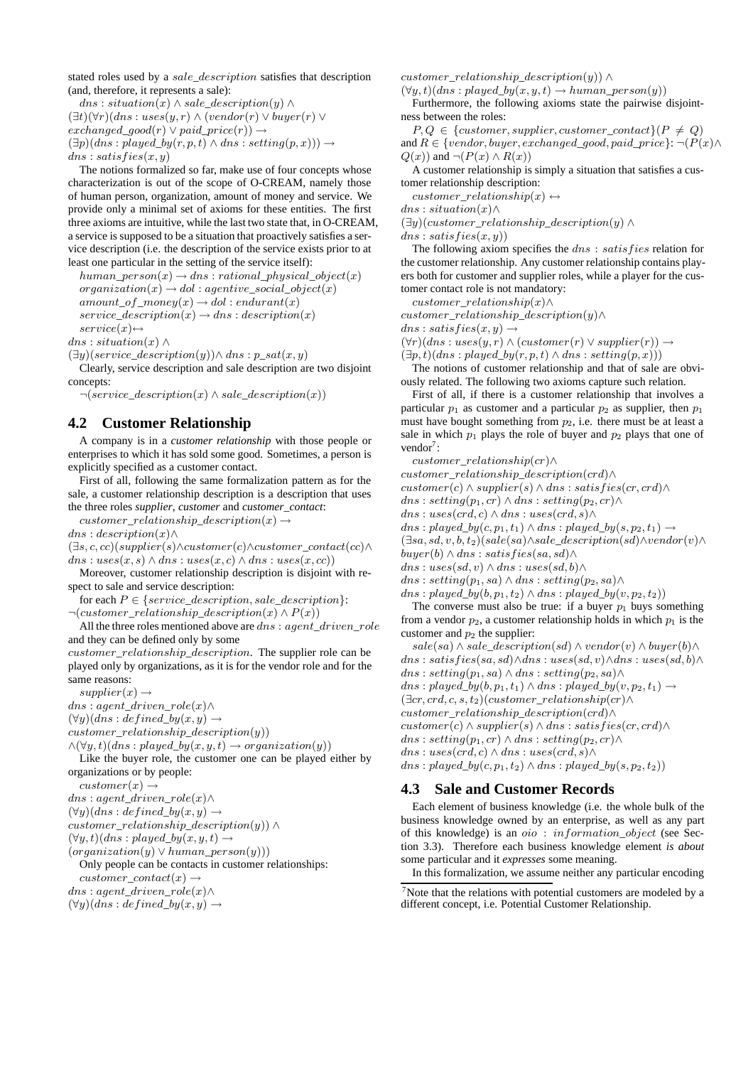stated roles used by a *sale*\_*description* satisfies that description (and, therefore, it represents a sale):

*dns* : *situation*(*x*) ∧ *sale*\_*description*(*y*) ∧ (∃*t*)(∀*r*)(*dns* : *uses*(*y,r*) ∧ (*vendor*(*r*) ∨ *buyer*(*r*) ∨  $exchanged\_good(r) \vee paid\_price(r)) \rightarrow$  $(\exists p)(\text{d}ns : \text{played\_by}(r, p, t) \land \text{d}ns : \text{setting}(p, x))) \rightarrow$ 

 $dns: satisfies(x, y)$ 

The notions formalized so far, make use of four concepts whose characterization is out of the scope of O-CREAM, namely those of human person, organization, amount of money and service. We provide only a minimal set of axioms for these entities. The first three axioms are intuitive, while the last two state that, in O-CREAM, a service is supposed to be a situation that proactively satisfies a service description (i.e. the description of the service exists prior to at least one particular in the setting of the service itself):

 $human\_person(x) \rightarrow dns: rational\_physical\_object(x)$  $organization(x) \rightarrow dol : agentive\_social\_object(x)$ *amount* of  $money(x) \rightarrow dol$  : *endurant*(*x*)  $s$ *ervice\_description* $(x) \rightarrow d$ *ns* : *description* $(x)$  $service(x) \leftrightarrow$  $d$ *ns* : *situation* $(x)$  ∧

(∃*y*)(*service*\_*description*(*y*))∧ *dns* : *p*\_*sat*(*x, y*)

Clearly, service description and sale description are two disjoint concepts:

¬(*service*\_*description*(*x*) ∧ *sale*\_*description*(*x*))

#### **4.2 Customer Relationship**

A company is in a *customer relationship* with those people or enterprises to which it has sold some good. Sometimes, a person is explicitly specified as a customer contact.

First of all, following the same formalization pattern as for the sale, a customer relationship description is a description that uses the three roles *supplier*, *customer* and *customer\_contact*:

 $\ncustomer\_relationship\_description(x) \rightarrow$ 

*dns* : *description*(*x*)∧

(∃*s, c, cc*)(*supplier*(*s*)∧*customer*(*c*)∧*customer*\_*contact*(*cc*)∧  $dns : uses(x, s) \wedge dns : uses(x, c) \wedge dns : uses(x, cc)$ 

Moreover, customer relationship description is disjoint with respect to sale and service description:

for each  $P \in \{service\_description, sale\_description\}$ : ¬(*customer*\_*relationship*\_*description*(*x*) ∧ *P*(*x*))

All the three roles mentioned above are *dns* : *agent*\_*driven*\_*role* and they can be defined only by some

*customer*\_*relationship*\_*description*. The supplier role can be played only by organizations, as it is for the vendor role and for the same reasons:

 $supplier(x) \rightarrow$ 

 $d$ *ns* : *agent\_driven\_role* $(x)$ ∧

 $(\forall y)(dns : defined_by(x, y) \rightarrow$ 

*customer*\_*relationship*\_*description*(*y*))

 $\land$ ( $\forall y, t$ )(*dns* : *played\_by*(*x, y, t*)  $\rightarrow$  *organization*(*y*))

Like the buyer role, the customer one can be played either by organizations or by people:

 $\textit{customer}(x) \rightarrow$ 

*dns* : *agent*\_*driven*\_*role*(*x*)∧

 $(\forall y)(dns : defined_by(x, y) \rightarrow$ 

$$
customer\_relationship\_description(y)) \land
$$

 $(\forall y, t)(\text{d}ns : \text{played\_by}(x, y, t) \rightarrow$ 

 $(organization(y) \vee human\_person(y)))$ 

Only people can be contacts in customer relationships:  $\ncustomer\_contact(x) -$ 

*dns* : *agent*\_*driven*\_*role*(*x*)∧

 $(\forall y)(\text{d}ns: \text{defined\_by}(x, y) \rightarrow$ 

*customer*\_*relationship*\_*description*(*y*)) ∧

 $(\forall y, t)(\text{d}ns : \text{played\_by}(x, y, t) \rightarrow \text{human\_person}(y))$ 

Furthermore, the following axioms state the pairwise disjointness between the roles:

 $P,Q \in \{customer, supplier, customer\_contact\} (P \neq Q)$ and  $R \in \{vendor, buyer, exchange\_{good}, paid\_price\}$ : ¬ $(P(x) \land$ *Q*(*x*)) and  $\neg (P(x) \land R(x))$ 

A customer relationship is simply a situation that satisfies a customer relationship description:

 $\textit{customer\_relationship}(x) \leftrightarrow$ 

*dns* : *situation*(*x*)∧

(∃*y*)(*customer*\_*relationship*\_*description*(*y*) ∧  $\overrightarrow{Ans:} satisfies(x,y)$ 

The following axiom specifies the *dns* : *satisf ies* relation for the customer relationship. Any customer relationship contains players both for customer and supplier roles, while a player for the customer contact role is not mandatory:

*customer*\_*relationship*(*x*)∧

*customer*\_*relationship*\_*description*(*y*)∧

 $dns: satisfies(x,y) \rightarrow$ 

(∀*r*)(*dns* : *uses*(*y,r*) ∧ (*customer*(*r*) ∨ *supplier*(*r*)) →

 $(\exists p, t)(\text{d}ns : \text{played } \text{by}(r, p, t) \land \text{d}ns : \text{setting}(p, x))$ 

The notions of customer relationship and that of sale are obviously related. The following two axioms capture such relation.

First of all, if there is a customer relationship that involves a particular  $p_1$  as customer and a particular  $p_2$  as supplier, then  $p_1$ must have bought something from *p*2, i.e. there must be at least a sale in which  $p_1$  plays the role of buyer and  $p_2$  plays that one of  $v$ endor<sup>7</sup>:

*customer*\_*relationship*(*cr*)∧

*customer*\_*relationship*\_*description*(*crd*)∧  $\textit{customer}(c) \land \textit{supplier}(s) \land \textit{dns} : \textit{satisfies}(cr, crd) \land$  $d$ *ns* : *setting*( $p_1$ *, cr*) ∧ *dns* : *setting*( $p_2$ *, cr*)∧  $dns : uses(crd, c) \wedge dns : uses(crd, s) \wedge$  $d$ *ns* :  $played\_by(c, p_1, t_1) \wedge d$ *ns* :  $played\_by(s, p_2, t_1) \rightarrow$ (∃*sa, sd, v, b, t*2)(*sale*(*sa*)∧*sale*\_*description*(*sd*)∧*vendor*(*v*)∧  $buyer(b) \wedge Ans : satisfies(sa, sd) \wedge$  $dns : uses(sd, v) \wedge dns : uses(sd, b) \wedge$  $d$ *ns* : *setting*( $p_1$ *, sa*) ∧ *dns* : *setting*( $p_2$ *, sa*) ∧  $d$ *ns* : *played*  $b$ *y*(*b, p*<sub>1</sub>*, t*<sub>2</sub>) ∧ *dns* : *played*  $b$ *y*(*v, p*<sub>2</sub>*, t*<sub>2</sub>)) The converse must also be true: if a buyer  $p_1$  buys something

from a vendor  $p_2$ , a customer relationship holds in which  $p_1$  is the customer and  $p_2$  the supplier:

*sale*(*sa*) ∧ *sale*\_*description*(*sd*) ∧ *vendor*(*v*) ∧ *buyer*(*b*)∧  $d$ *ns* : *satisfies*(*sa, sd*)∧ $d$ *ns* : *uses*(*sd, v*)∧ $d$ *ns* : *uses*(*sd, b*)∧  $d$ *ns* : *setting* $(p_1, sa) \wedge d$ *ns* : *setting* $(p_2, sa) \wedge$  $d$ *ns* :  $played\_by(b, p_1, t_1) \wedge d$ *ns* :  $played\_by(v, p_2, t_1) \rightarrow$ (∃*cr, crd, c, s, t*2)(*customer*\_*relationship*(*cr*)∧ *customer*\_*relationship*\_*description*(*crd*)∧  $\textit{customer}(c) \land \textit{supplier}(s) \land \textit{dns} : \textit{satisfies}(cr, crd) \land$  $d$ *ns* : *setting*( $p_1$ *, cr*) ∧ *dns* : *setting*( $p_2$ *, cr*)∧  $dns : uses(crd, c) \wedge dns : uses(crd, s) \wedge$  $d$ *ns* :  $played\_by(c, p_1, t_2) \wedge d$ *ns* :  $played\_by(s, p_2, t_2)$ 

#### **4.3 Sale and Customer Records**

Each element of business knowledge (i.e. the whole bulk of the business knowledge owned by an enterprise, as well as any part of this knowledge) is an *oio* : *information*\_*object* (see Section 3.3). Therefore each business knowledge element *is about* some particular and it *expresses* some meaning.

In this formalization, we assume neither any particular encoding

 $7$  Note that the relations with potential customers are modeled by a different concept, i.e. Potential Customer Relationship.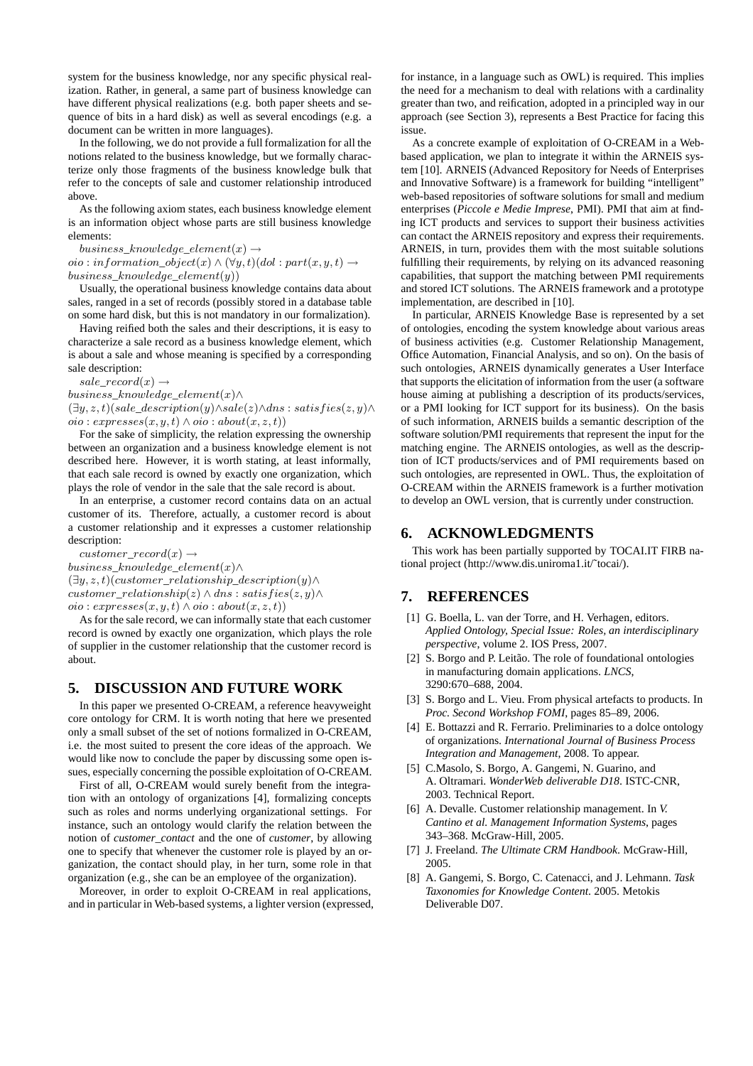system for the business knowledge, nor any specific physical realization. Rather, in general, a same part of business knowledge can have different physical realizations (e.g. both paper sheets and sequence of bits in a hard disk) as well as several encodings (e.g. a document can be written in more languages).

In the following, we do not provide a full formalization for all the notions related to the business knowledge, but we formally characterize only those fragments of the business knowledge bulk that refer to the concepts of sale and customer relationship introduced above.

As the following axiom states, each business knowledge element is an information object whose parts are still business knowledge elements:

*business knowledge element*(*x*)  $\rightarrow$ 

*oio* : *information\_object*(*x*) ∧ (∀*y, t*)(*dol* : *part*(*x, y, t*) → *business*\_*knowledge*\_*element*(*y*))

Usually, the operational business knowledge contains data about sales, ranged in a set of records (possibly stored in a database table on some hard disk, but this is not mandatory in our formalization).

Having reified both the sales and their descriptions, it is easy to characterize a sale record as a business knowledge element, which is about a sale and whose meaning is specified by a corresponding sale description:

 $scale\_record(x) \rightarrow$ 

*business*\_*knowledge*\_*element*(*x*)∧

 $(\exists y, z, t)(\textit{ sale\_description}(y) \land \textit{ sale}(z) \land \textit{dns} : \textit{satisfies}(z, y) \land$  $\overline{oio}: expresses(x, y, t) \wedge \overline{oio}: about(x, z, t)$ 

For the sake of simplicity, the relation expressing the ownership between an organization and a business knowledge element is not described here. However, it is worth stating, at least informally, that each sale record is owned by exactly one organization, which plays the role of vendor in the sale that the sale record is about.

In an enterprise, a customer record contains data on an actual customer of its. Therefore, actually, a customer record is about a customer relationship and it expresses a customer relationship description:

 $\c{customer\_record}(x) \rightarrow$ *business*\_*knowledge*\_*element*(*x*)∧ (∃*y,z, t*)(*customer*\_*relationship*\_*description*(*y*)∧  $customer$  $relationship(z) \wedge Ans : satisfies(z, y) \wedge$  $\overline{oio}: expresses(x, y, t) \wedge \overline{oio}: about(x, z, t)$ 

As for the sale record, we can informally state that each customer record is owned by exactly one organization, which plays the role of supplier in the customer relationship that the customer record is about.

## **5. DISCUSSION AND FUTURE WORK**

In this paper we presented O-CREAM, a reference heavyweight core ontology for CRM. It is worth noting that here we presented only a small subset of the set of notions formalized in O-CREAM, i.e. the most suited to present the core ideas of the approach. We would like now to conclude the paper by discussing some open issues, especially concerning the possible exploitation of O-CREAM.

First of all, O-CREAM would surely benefit from the integration with an ontology of organizations [4], formalizing concepts such as roles and norms underlying organizational settings. For instance, such an ontology would clarify the relation between the notion of *customer\_contact* and the one of *customer*, by allowing one to specify that whenever the customer role is played by an organization, the contact should play, in her turn, some role in that organization (e.g., she can be an employee of the organization).

Moreover, in order to exploit O-CREAM in real applications, and in particular in Web-based systems, a lighter version (expressed,

for instance, in a language such as OWL) is required. This implies the need for a mechanism to deal with relations with a cardinality greater than two, and reification, adopted in a principled way in our approach (see Section 3), represents a Best Practice for facing this issue.

As a concrete example of exploitation of O-CREAM in a Webbased application, we plan to integrate it within the ARNEIS system [10]. ARNEIS (Advanced Repository for Needs of Enterprises and Innovative Software) is a framework for building "intelligent" web-based repositories of software solutions for small and medium enterprises (*Piccole e Medie Imprese*, PMI). PMI that aim at finding ICT products and services to support their business activities can contact the ARNEIS repository and express their requirements. ARNEIS, in turn, provides them with the most suitable solutions fulfilling their requirements, by relying on its advanced reasoning capabilities, that support the matching between PMI requirements and stored ICT solutions. The ARNEIS framework and a prototype implementation, are described in [10].

In particular, ARNEIS Knowledge Base is represented by a set of ontologies, encoding the system knowledge about various areas of business activities (e.g. Customer Relationship Management, Office Automation, Financial Analysis, and so on). On the basis of such ontologies, ARNEIS dynamically generates a User Interface that supports the elicitation of information from the user (a software house aiming at publishing a description of its products/services, or a PMI looking for ICT support for its business). On the basis of such information, ARNEIS builds a semantic description of the software solution/PMI requirements that represent the input for the matching engine. The ARNEIS ontologies, as well as the description of ICT products/services and of PMI requirements based on such ontologies, are represented in OWL. Thus, the exploitation of O-CREAM within the ARNEIS framework is a further motivation to develop an OWL version, that is currently under construction.

## **6. ACKNOWLEDGMENTS**

This work has been partially supported by TOCAI.IT FIRB national project (http://www.dis.uniroma1.it/˜tocai/).

## **7. REFERENCES**

- [1] G. Boella, L. van der Torre, and H. Verhagen, editors. *Applied Ontology, Special Issue: Roles, an interdisciplinary perspective*, volume 2. IOS Press, 2007.
- [2] S. Borgo and P. Leitão. The role of foundational ontologies in manufacturing domain applications. *LNCS*, 3290:670–688, 2004.
- [3] S. Borgo and L. Vieu. From physical artefacts to products. In *Proc. Second Workshop FOMI*, pages 85–89, 2006.
- [4] E. Bottazzi and R. Ferrario. Preliminaries to a dolce ontology of organizations. *International Journal of Business Process Integration and Management*, 2008. To appear.
- [5] C.Masolo, S. Borgo, A. Gangemi, N. Guarino, and A. Oltramari. *WonderWeb deliverable D18*. ISTC-CNR, 2003. Technical Report.
- [6] A. Devalle. Customer relationship management. In *V. Cantino et al. Management Information Systems*, pages 343–368. McGraw-Hill, 2005.
- [7] J. Freeland. *The Ultimate CRM Handbook*. McGraw-Hill, 2005.
- [8] A. Gangemi, S. Borgo, C. Catenacci, and J. Lehmann. *Task Taxonomies for Knowledge Content*. 2005. Metokis Deliverable D07.